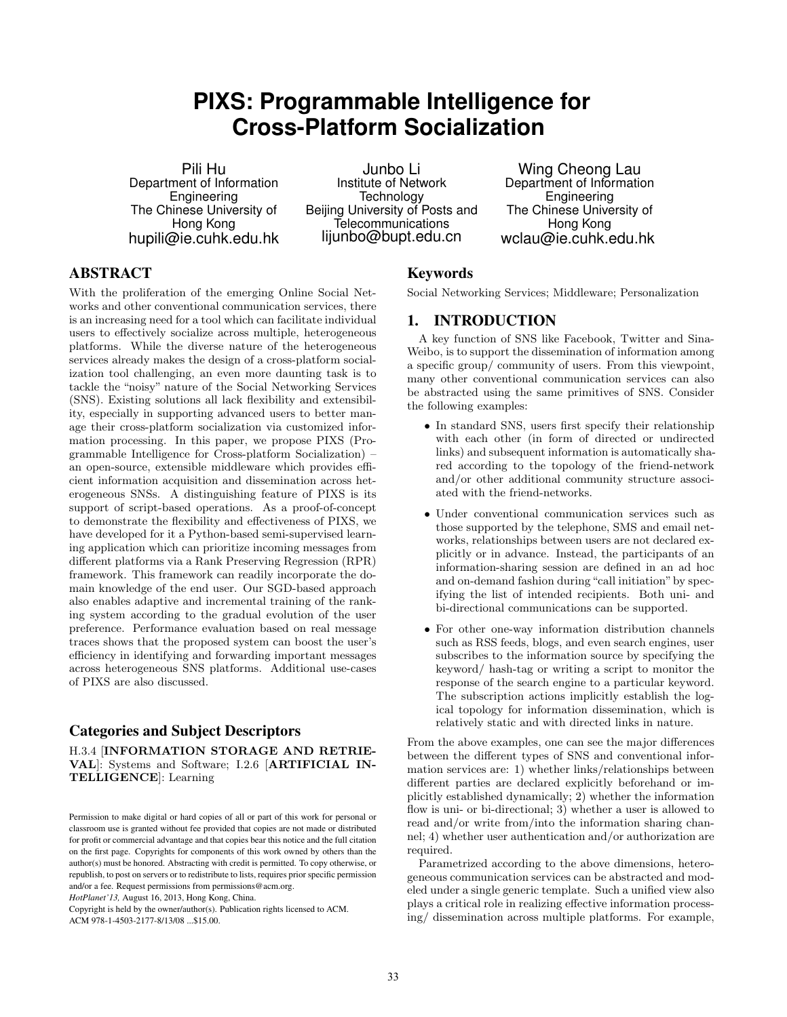# **PIXS: Programmable Intelligence for Cross-Platform Socialization**

Pili Hu Department of Information Engineering The Chinese University of Hong Kong hupili@ie.cuhk.edu.hk

Junbo Li Institute of Network **Technology** Beijing University of Posts and **Telecommunications** lijunbo@bupt.edu.cn

Wing Cheong Lau Department of Information **Engineering** The Chinese University of Hong Kong wclau@ie.cuhk.edu.hk

# ABSTRACT

With the proliferation of the emerging Online Social Networks and other conventional communication services, there is an increasing need for a tool which can facilitate individual users to effectively socialize across multiple, heterogeneous platforms. While the diverse nature of the heterogeneous services already makes the design of a cross-platform socialization tool challenging, an even more daunting task is to tackle the "noisy" nature of the Social Networking Services (SNS). Existing solutions all lack flexibility and extensibility, especially in supporting advanced users to better manage their cross-platform socialization via customized information processing. In this paper, we propose PIXS (Programmable Intelligence for Cross-platform Socialization) – an open-source, extensible middleware which provides efficient information acquisition and dissemination across heterogeneous SNSs. A distinguishing feature of PIXS is its support of script-based operations. As a proof-of-concept to demonstrate the flexibility and effectiveness of PIXS, we have developed for it a Python-based semi-supervised learning application which can prioritize incoming messages from different platforms via a Rank Preserving Regression (RPR) framework. This framework can readily incorporate the domain knowledge of the end user. Our SGD-based approach also enables adaptive and incremental training of the ranking system according to the gradual evolution of the user preference. Performance evaluation based on real message traces shows that the proposed system can boost the user's efficiency in identifying and forwarding important messages across heterogeneous SNS platforms. Additional use-cases of PIXS are also discussed.

# Categories and Subject Descriptors

H.3.4 [**INFORMATION STORAGE AND RETRIE-VAL**]: Systems and Software; I.2.6 [**ARTIFICIAL IN-TELLIGENCE**]: Learning

*HotPlanet'13,* August 16, 2013, Hong Kong, China.

Copyright is held by the owner/author(s). Publication rights licensed to ACM. ACM 978-1-4503-2177-8/13/08 ...\$15.00.

# Keywords

Social Networking Services; Middleware; Personalization

# 1. INTRODUCTION

A key function of SNS like Facebook, Twitter and Sina-Weibo, is to support the dissemination of information among a specific group/ community of users. From this viewpoint, many other conventional communication services can also be abstracted using the same primitives of SNS. Consider the following examples:

- In standard SNS, users first specify their relationship with each other (in form of directed or undirected links) and subsequent information is automatically shared according to the topology of the friend-network and/or other additional community structure associated with the friend-networks.
- Under conventional communication services such as those supported by the telephone, SMS and email networks, relationships between users are not declared explicitly or in advance. Instead, the participants of an information-sharing session are defined in an ad hoc and on-demand fashion during "call initiation" by specifying the list of intended recipients. Both uni- and bi-directional communications can be supported.
- For other one-way information distribution channels such as RSS feeds, blogs, and even search engines, user subscribes to the information source by specifying the keyword/ hash-tag or writing a script to monitor the response of the search engine to a particular keyword. The subscription actions implicitly establish the logical topology for information dissemination, which is relatively static and with directed links in nature.

From the above examples, one can see the major differences between the different types of SNS and conventional information services are: 1) whether links/relationships between different parties are declared explicitly beforehand or implicitly established dynamically; 2) whether the information flow is uni- or bi-directional; 3) whether a user is allowed to read and/or write from/into the information sharing channel; 4) whether user authentication and/or authorization are required.

Parametrized according to the above dimensions, heterogeneous communication services can be abstracted and modeled under a single generic template. Such a unified view also plays a critical role in realizing effective information processing/ dissemination across multiple platforms. For example,

Permission to make digital or hard copies of all or part of this work for personal or classroom use is granted without fee provided that copies are not made or distributed for profit or commercial advantage and that copies bear this notice and the full citation on the first page. Copyrights for components of this work owned by others than the author(s) must be honored. Abstracting with credit is permitted. To copy otherwise, or republish, to post on servers or to redistribute to lists, requires prior specific permission and/or a fee. Request permissions from permissions@acm.org.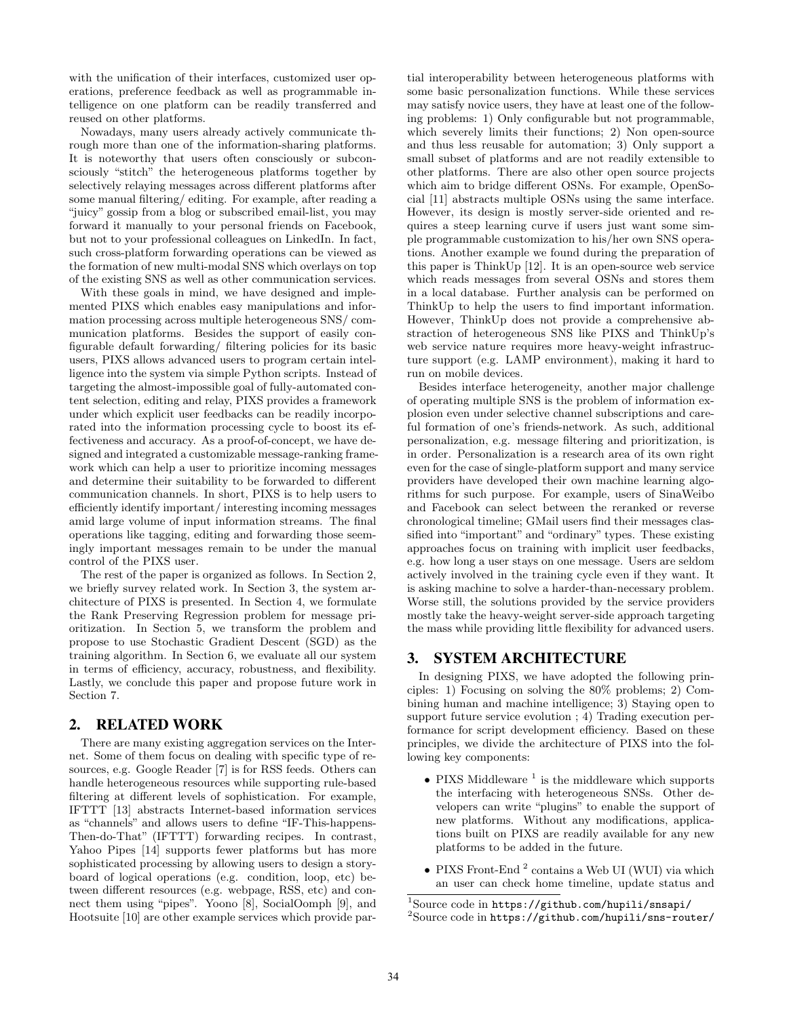with the unification of their interfaces, customized user operations, preference feedback as well as programmable intelligence on one platform can be readily transferred and reused on other platforms.

Nowadays, many users already actively communicate through more than one of the information-sharing platforms. It is noteworthy that users often consciously or subconsciously "stitch" the heterogeneous platforms together by selectively relaying messages across different platforms after some manual filtering/ editing. For example, after reading a "juicy" gossip from a blog or subscribed email-list, you may forward it manually to your personal friends on Facebook, but not to your professional colleagues on LinkedIn. In fact, such cross-platform forwarding operations can be viewed as the formation of new multi-modal SNS which overlays on top of the existing SNS as well as other communication services.

With these goals in mind, we have designed and implemented PIXS which enables easy manipulations and information processing across multiple heterogeneous SNS/ communication platforms. Besides the support of easily configurable default forwarding/ filtering policies for its basic users, PIXS allows advanced users to program certain intelligence into the system via simple Python scripts. Instead of targeting the almost-impossible goal of fully-automated content selection, editing and relay, PIXS provides a framework under which explicit user feedbacks can be readily incorporated into the information processing cycle to boost its effectiveness and accuracy. As a proof-of-concept, we have designed and integrated a customizable message-ranking framework which can help a user to prioritize incoming messages and determine their suitability to be forwarded to different communication channels. In short, PIXS is to help users to efficiently identify important/ interesting incoming messages amid large volume of input information streams. The final operations like tagging, editing and forwarding those seemingly important messages remain to be under the manual control of the PIXS user.

The rest of the paper is organized as follows. In Section 2, we briefly survey related work. In Section 3, the system architecture of PIXS is presented. In Section 4, we formulate the Rank Preserving Regression problem for message prioritization. In Section 5, we transform the problem and propose to use Stochastic Gradient Descent (SGD) as the training algorithm. In Section 6, we evaluate all our system in terms of efficiency, accuracy, robustness, and flexibility. Lastly, we conclude this paper and propose future work in Section 7.

## 2. RELATED WORK

There are many existing aggregation services on the Internet. Some of them focus on dealing with specific type of resources, e.g. Google Reader [7] is for RSS feeds. Others can handle heterogeneous resources while supporting rule-based filtering at different levels of sophistication. For example, IFTTT [13] abstracts Internet-based information services as "channels" and allows users to define "IF-This-happens-Then-do-That" (IFTTT) forwarding recipes. In contrast, Yahoo Pipes [14] supports fewer platforms but has more sophisticated processing by allowing users to design a storyboard of logical operations (e.g. condition, loop, etc) between different resources (e.g. webpage, RSS, etc) and connect them using "pipes". Yoono [8], SocialOomph [9], and Hootsuite [10] are other example services which provide partial interoperability between heterogeneous platforms with some basic personalization functions. While these services may satisfy novice users, they have at least one of the following problems: 1) Only configurable but not programmable, which severely limits their functions; 2) Non open-source and thus less reusable for automation; 3) Only support a small subset of platforms and are not readily extensible to other platforms. There are also other open source projects which aim to bridge different OSNs. For example, OpenSocial [11] abstracts multiple OSNs using the same interface. However, its design is mostly server-side oriented and requires a steep learning curve if users just want some simple programmable customization to his/her own SNS operations. Another example we found during the preparation of this paper is ThinkUp [12]. It is an open-source web service which reads messages from several OSNs and stores them in a local database. Further analysis can be performed on ThinkUp to help the users to find important information. However, ThinkUp does not provide a comprehensive abstraction of heterogeneous SNS like PIXS and ThinkUp's web service nature requires more heavy-weight infrastructure support (e.g. LAMP environment), making it hard to run on mobile devices.

Besides interface heterogeneity, another major challenge of operating multiple SNS is the problem of information explosion even under selective channel subscriptions and careful formation of one's friends-network. As such, additional personalization, e.g. message filtering and prioritization, is in order. Personalization is a research area of its own right even for the case of single-platform support and many service providers have developed their own machine learning algorithms for such purpose. For example, users of SinaWeibo and Facebook can select between the reranked or reverse chronological timeline; GMail users find their messages classified into "important" and "ordinary" types. These existing approaches focus on training with implicit user feedbacks, e.g. how long a user stays on one message. Users are seldom actively involved in the training cycle even if they want. It is asking machine to solve a harder-than-necessary problem. Worse still, the solutions provided by the service providers mostly take the heavy-weight server-side approach targeting the mass while providing little flexibility for advanced users.

# 3. SYSTEM ARCHITECTURE

In designing PIXS, we have adopted the following principles: 1) Focusing on solving the 80% problems; 2) Combining human and machine intelligence; 3) Staying open to support future service evolution ; 4) Trading execution performance for script development efficiency. Based on these principles, we divide the architecture of PIXS into the following key components:

- PIXS Middleware  $^{-1}$  is the middleware which supports the interfacing with heterogeneous SNSs. Other developers can write "plugins" to enable the support of new platforms. Without any modifications, applications built on PIXS are readily available for any new platforms to be added in the future.
- PIXS Front-End<sup>2</sup> contains a Web UI (WUI) via which an user can check home timeline, update status and

 $\begin{array}{l} \text{1} \text{Source code in \texttt{https://github.com/hupili/snsapi/}}\\ \text{2} \text{Source code in \texttt{https://github.com/hupili/sn}-router/} \end{array}$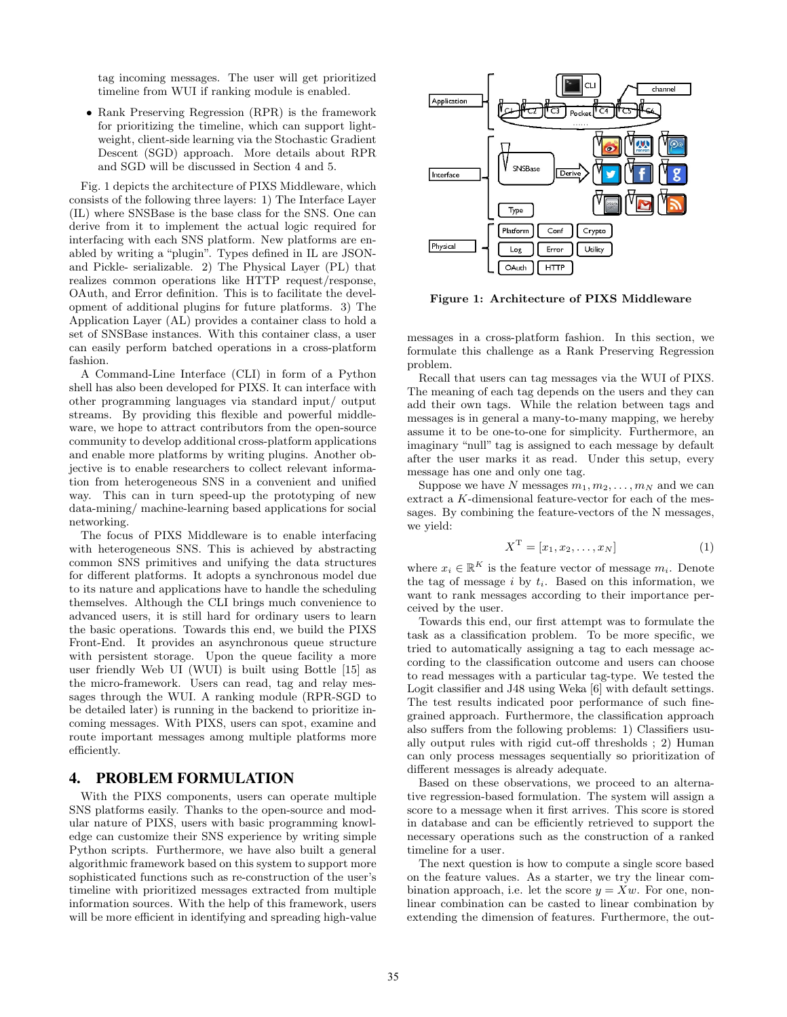tag incoming messages. The user will get prioritized timeline from WUI if ranking module is enabled.

• Rank Preserving Regression (RPR) is the framework for prioritizing the timeline, which can support lightweight, client-side learning via the Stochastic Gradient Descent (SGD) approach. More details about RPR and SGD will be discussed in Section 4 and 5.

Fig. 1 depicts the architecture of PIXS Middleware, which consists of the following three layers: 1) The Interface Layer (IL) where SNSBase is the base class for the SNS. One can derive from it to implement the actual logic required for interfacing with each SNS platform. New platforms are enabled by writing a "plugin". Types defined in IL are JSONand Pickle- serializable. 2) The Physical Layer (PL) that realizes common operations like HTTP request/response, OAuth, and Error definition. This is to facilitate the development of additional plugins for future platforms. 3) The Application Layer (AL) provides a container class to hold a set of SNSBase instances. With this container class, a user can easily perform batched operations in a cross-platform fashion.

A Command-Line Interface (CLI) in form of a Python shell has also been developed for PIXS. It can interface with other programming languages via standard input/ output streams. By providing this flexible and powerful middleware, we hope to attract contributors from the open-source community to develop additional cross-platform applications and enable more platforms by writing plugins. Another objective is to enable researchers to collect relevant information from heterogeneous SNS in a convenient and unified way. This can in turn speed-up the prototyping of new data-mining/ machine-learning based applications for social networking.

The focus of PIXS Middleware is to enable interfacing with heterogeneous SNS. This is achieved by abstracting common SNS primitives and unifying the data structures for different platforms. It adopts a synchronous model due to its nature and applications have to handle the scheduling themselves. Although the CLI brings much convenience to advanced users, it is still hard for ordinary users to learn the basic operations. Towards this end, we build the PIXS Front-End. It provides an asynchronous queue structure with persistent storage. Upon the queue facility a more user friendly Web UI (WUI) is built using Bottle [15] as the micro-framework. Users can read, tag and relay messages through the WUI. A ranking module (RPR-SGD to be detailed later) is running in the backend to prioritize incoming messages. With PIXS, users can spot, examine and route important messages among multiple platforms more efficiently.

### 4. PROBLEM FORMULATION

With the PIXS components, users can operate multiple SNS platforms easily. Thanks to the open-source and modular nature of PIXS, users with basic programming knowledge can customize their SNS experience by writing simple Python scripts. Furthermore, we have also built a general algorithmic framework based on this system to support more sophisticated functions such as re-construction of the user's timeline with prioritized messages extracted from multiple information sources. With the help of this framework, users will be more efficient in identifying and spreading high-value



**Figure 1: Architecture of PIXS Middleware**

messages in a cross-platform fashion. In this section, we formulate this challenge as a Rank Preserving Regression problem.

Recall that users can tag messages via the WUI of PIXS. The meaning of each tag depends on the users and they can add their own tags. While the relation between tags and messages is in general a many-to-many mapping, we hereby assume it to be one-to-one for simplicity. Furthermore, an imaginary "null" tag is assigned to each message by default after the user marks it as read. Under this setup, every message has one and only one tag.

Suppose we have N messages  $m_1, m_2, \ldots, m_N$  and we can extract a K-dimensional feature-vector for each of the messages. By combining the feature-vectors of the N messages, we yield:

$$
X^{\mathrm{T}} = [x_1, x_2, \dots, x_N] \tag{1}
$$

where  $x_i \in \mathbb{R}^K$  is the feature vector of message  $m_i$ . Denote the tag of message i by t*i*. Based on this information, we want to rank messages according to their importance perceived by the user.

Towards this end, our first attempt was to formulate the task as a classification problem. To be more specific, we tried to automatically assigning a tag to each message according to the classification outcome and users can choose to read messages with a particular tag-type. We tested the Logit classifier and J48 using Weka [6] with default settings. The test results indicated poor performance of such finegrained approach. Furthermore, the classification approach also suffers from the following problems: 1) Classifiers usually output rules with rigid cut-off thresholds ; 2) Human can only process messages sequentially so prioritization of different messages is already adequate.

Based on these observations, we proceed to an alternative regression-based formulation. The system will assign a score to a message when it first arrives. This score is stored in database and can be efficiently retrieved to support the necessary operations such as the construction of a ranked timeline for a user.

The next question is how to compute a single score based on the feature values. As a starter, we try the linear combination approach, i.e. let the score  $y = Xw$ . For one, nonlinear combination can be casted to linear combination by extending the dimension of features. Furthermore, the out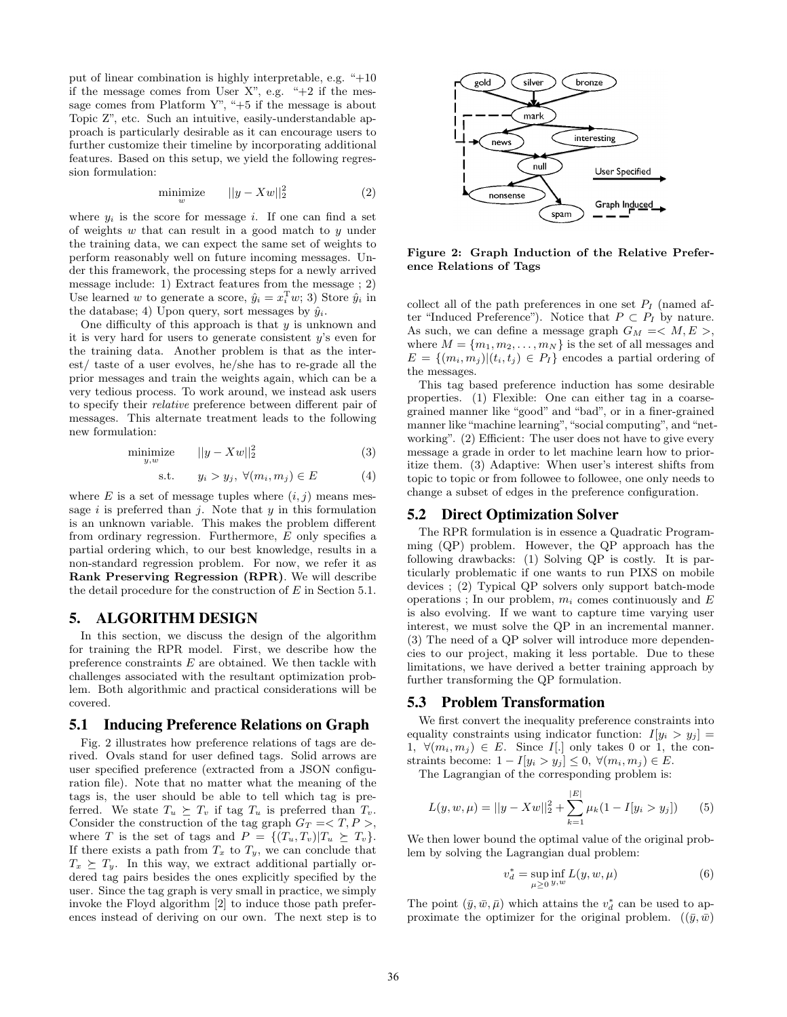put of linear combination is highly interpretable, e.g. "+10 if the message comes from User  $X^{\prime\prime}$ , e.g. " $+2$  if the message comes from Platform  $Y''$ , " $+5$  if the message is about Topic Z", etc. Such an intuitive, easily-understandable approach is particularly desirable as it can encourage users to further customize their timeline by incorporating additional features. Based on this setup, we yield the following regression formulation:

$$
\underset{w}{\text{minimize}} \qquad ||y - Xw||_2^2 \tag{2}
$$

where  $y_i$  is the score for message i. If one can find a set of weights  $w$  that can result in a good match to  $y$  under the training data, we can expect the same set of weights to perform reasonably well on future incoming messages. Under this framework, the processing steps for a newly arrived message include: 1) Extract features from the message ; 2) Use learned w to generate a score,  $\hat{y}_i = x_i^{\mathrm{T}} w$ ; 3) Store  $\hat{y}_i$  in the database; 4) Upon query, sort messages by  $\hat{y}_i$ .

One difficulty of this approach is that  $y$  is unknown and it is very hard for users to generate consistent y's even for the training data. Another problem is that as the interest/ taste of a user evolves, he/she has to re-grade all the prior messages and train the weights again, which can be a very tedious process. To work around, we instead ask users to specify their *relative* preference between different pair of messages. This alternate treatment leads to the following new formulation:

$$
\underset{u,w}{\text{minimize}} \qquad ||y - Xw||_2^2 \tag{3}
$$

$$
\text{s.t.} \qquad y_i > y_j, \ \forall (m_i, m_j) \in E \tag{4}
$$

where  $E$  is a set of message tuples where  $(i, j)$  means message  $i$  is preferred than  $j$ . Note that  $y$  in this formulation is an unknown variable. This makes the problem different from ordinary regression. Furthermore, E only specifies a partial ordering which, to our best knowledge, results in a non-standard regression problem. For now, we refer it as **Rank Preserving Regression (RPR)**. We will describe the detail procedure for the construction of  $E$  in Section 5.1.

## 5. ALGORITHM DESIGN

In this section, we discuss the design of the algorithm for training the RPR model. First, we describe how the preference constraints  ${\cal E}$  are obtained. We then tackle with challenges associated with the resultant optimization problem. Both algorithmic and practical considerations will be covered.

#### 5.1 Inducing Preference Relations on Graph

Fig. 2 illustrates how preference relations of tags are derived. Ovals stand for user defined tags. Solid arrows are user specified preference (extracted from a JSON configuration file). Note that no matter what the meaning of the tags is, the user should be able to tell which tag is preferred. We state  $T_u \succeq T_v$  if tag  $T_u$  is preferred than  $T_v$ . Consider the construction of the tag graph  $G_T = \langle T, P \rangle$ , where T is the set of tags and  $P = \{(T_u, T_v)|T_u \succeq T_v\}.$ If there exists a path from  $T_x$  to  $T_y$ , we can conclude that  $T_x \succeq T_y$ . In this way, we extract additional partially ordered tag pairs besides the ones explicitly specified by the user. Since the tag graph is very small in practice, we simply invoke the Floyd algorithm [2] to induce those path preferences instead of deriving on our own. The next step is to



**Figure 2: Graph Induction of the Relative Preference Relations of Tags**

collect all of the path preferences in one set P*<sup>I</sup>* (named after "Induced Preference"). Notice that  $P \subset P_I$  by nature. As such, we can define a message graph  $G_M = \langle M, E \rangle$ , where  $M = \{m_1, m_2, \ldots, m_N\}$  is the set of all messages and  $E = \{(m_i, m_j) | (t_i, t_j) \in P_I\}$  encodes a partial ordering of the messages.

This tag based preference induction has some desirable properties. (1) Flexible: One can either tag in a coarsegrained manner like "good" and "bad", or in a finer-grained manner like "machine learning", "social computing", and "networking". (2) Efficient: The user does not have to give every message a grade in order to let machine learn how to prioritize them. (3) Adaptive: When user's interest shifts from topic to topic or from followee to followee, one only needs to change a subset of edges in the preference configuration.

## 5.2 Direct Optimization Solver

The RPR formulation is in essence a Quadratic Programming (QP) problem. However, the QP approach has the following drawbacks: (1) Solving QP is costly. It is particularly problematic if one wants to run PIXS on mobile devices ; (2) Typical QP solvers only support batch-mode operations ; In our problem, m*<sup>i</sup>* comes continuously and E is also evolving. If we want to capture time varying user interest, we must solve the QP in an incremental manner. (3) The need of a QP solver will introduce more dependencies to our project, making it less portable. Due to these limitations, we have derived a better training approach by further transforming the QP formulation.

#### 5.3 Problem Transformation

We first convert the inequality preference constraints into equality constraints using indicator function:  $I[y_i > y_j] =$ 1,  $\forall (m_i, m_j) \in E$ . Since I[.] only takes 0 or 1, the constraints become:  $1 - I[y_i > y_j] \leq 0, \ \forall (m_i, m_j) \in E$ .

The Lagrangian of the corresponding problem is:

$$
L(y, w, \mu) = ||y - Xw||_2^2 + \sum_{k=1}^{|E|} \mu_k (1 - I[y_i > y_j])
$$
 (5)

We then lower bound the optimal value of the original problem by solving the Lagrangian dual problem:

$$
v_d^* = \sup_{\mu \ge 0} \inf_{y,w} L(y, w, \mu)
$$
 (6)

The point  $(\bar{y}, \bar{w}, \bar{\mu})$  which attains the  $v_d^*$  can be used to approximate the optimizer for the original problem.  $((\bar{y}, \bar{w})$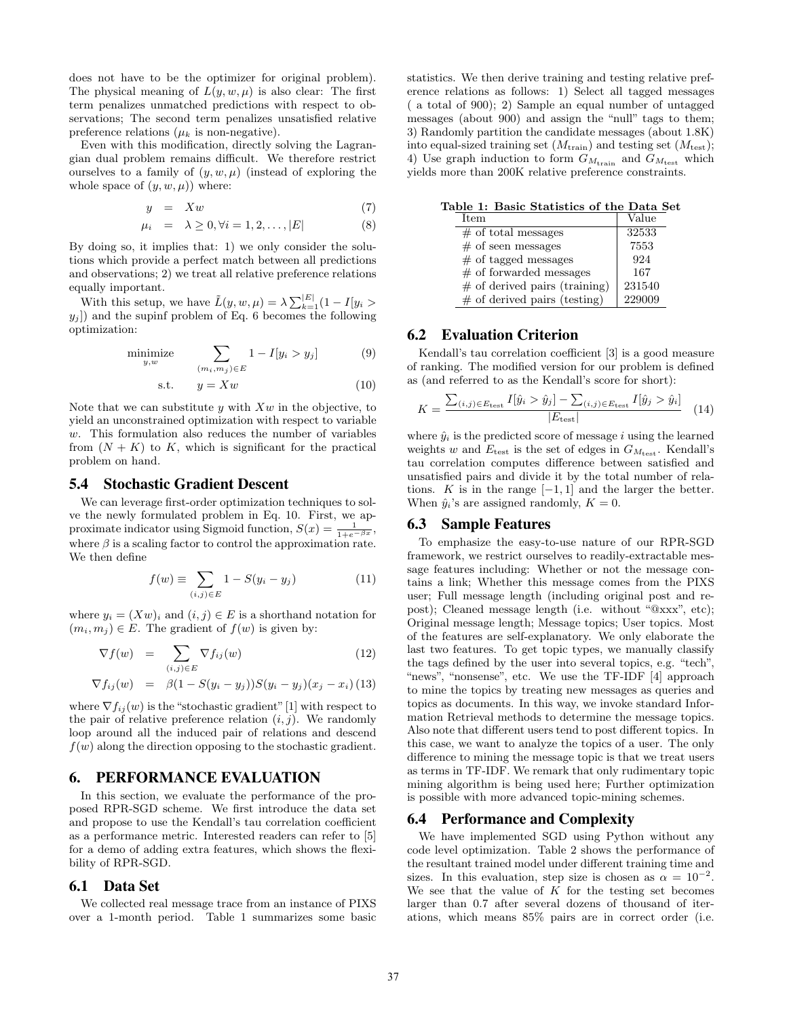does not have to be the optimizer for original problem). The physical meaning of  $L(y, w, \mu)$  is also clear: The first term penalizes unmatched predictions with respect to observations; The second term penalizes unsatisfied relative preference relations  $(\mu_k)$  is non-negative).

Even with this modification, directly solving the Lagrangian dual problem remains difficult. We therefore restrict ourselves to a family of  $(y, w, \mu)$  (instead of exploring the whole space of  $(y, w, \mu)$  where:

$$
y = Xw \tag{7}
$$

$$
\mu_i = \lambda \ge 0, \forall i = 1, 2, \dots, |E| \tag{8}
$$

By doing so, it implies that: 1) we only consider the solutions which provide a perfect match between all predictions and observations; 2) we treat all relative preference relations equally important.

With this setup, we have  $\tilde{L}(y, w, \mu) = \lambda \sum_{k=1}^{|E|} (1 - I[y_k])$  $y_j$ ) and the supinf problem of Eq. 6 becomes the following optimization:

$$
\underset{y,w}{\text{minimize}} \quad \sum_{(m_i,m_j)\in E} 1 - I[y_i > y_j] \tag{9}
$$

$$
s.t. \t y = Xw \t(10)
$$

Note that we can substitute y with  $Xw$  in the objective, to yield an unconstrained optimization with respect to variable w. This formulation also reduces the number of variables from  $(N + K)$  to K, which is significant for the practical problem on hand.

#### 5.4 Stochastic Gradient Descent

We can leverage first-order optimization techniques to solve the newly formulated problem in Eq. 10. First, we approximate indicator using Sigmoid function,  $S(x) = \frac{1}{1 + e^{-\beta x}}$ , where  $\beta$  is a scaling factor to control the approximation rate. We then define

$$
f(w) \equiv \sum_{(i,j)\in E} 1 - S(y_i - y_j)
$$
 (11)

where  $y_i = (Xw)_i$  and  $(i, j) \in E$  is a shorthand notation for  $(m_i, m_j) \in E$ . The gradient of  $f(w)$  is given by:

$$
\nabla f(w) = \sum_{(i,j)\in E} \nabla f_{ij}(w) \tag{12}
$$

$$
\nabla f_{ij}(w) = \beta (1 - S(y_i - y_j)) S(y_i - y_j)(x_j - x_i) (13)
$$

where  $\nabla f_{ij}(w)$  is the "stochastic gradient" [1] with respect to the pair of relative preference relation  $(i, j)$ . We randomly loop around all the induced pair of relations and descend  $f(w)$  along the direction opposing to the stochastic gradient.

## 6. PERFORMANCE EVALUATION

In this section, we evaluate the performance of the proposed RPR-SGD scheme. We first introduce the data set and propose to use the Kendall's tau correlation coefficient as a performance metric. Interested readers can refer to [5] for a demo of adding extra features, which shows the flexibility of RPR-SGD.

#### 6.1 Data Set

We collected real message trace from an instance of PIXS over a 1-month period. Table 1 summarizes some basic statistics. We then derive training and testing relative preference relations as follows: 1) Select all tagged messages ( a total of 900); 2) Sample an equal number of untagged messages (about 900) and assign the "null" tags to them; 3) Randomly partition the candidate messages (about 1.8K) into equal-sized training set  $(M_{\text{train}})$  and testing set  $(M_{\text{test}})$ ; 4) Use graph induction to form  $G_{M_{\text{train}}}$  and  $G_{M_{\text{test}}}$  which yields more than 200K relative preference constraints.

| Table 1: Basic Statistics of the Data Set |
|-------------------------------------------|
|-------------------------------------------|

| Item                             | Value  |
|----------------------------------|--------|
| $#$ of total messages            | 32533  |
| $\#$ of seen messages            | 7553   |
| $\#$ of tagged messages          | 924    |
| $#$ of forwarded messages        | 167    |
| $\#$ of derived pairs (training) | 231540 |
| $\#$ of derived pairs (testing)  | 229009 |

# 6.2 Evaluation Criterion

Kendall's tau correlation coefficient [3] is a good measure of ranking. The modified version for our problem is defined as (and referred to as the Kendall's score for short):

$$
K = \frac{\sum_{(i,j)\in E_{\text{test}}} I[\hat{y}_i > \hat{y}_j] - \sum_{(i,j)\in E_{\text{test}}} I[\hat{y}_j > \hat{y}_i]}{|E_{\text{test}}|} \tag{14}
$$

where  $\hat{y}_i$  is the predicted score of message i using the learned weights w and  $E_{\text{test}}$  is the set of edges in  $G_{M_{\text{test}}}$ . Kendall's tau correlation computes difference between satisfied and unsatisfied pairs and divide it by the total number of relations. K is in the range  $[-1, 1]$  and the larger the better. When  $\hat{y}_i$ 's are assigned randomly,  $K = 0$ .

#### 6.3 Sample Features

To emphasize the easy-to-use nature of our RPR-SGD framework, we restrict ourselves to readily-extractable message features including: Whether or not the message contains a link; Whether this message comes from the PIXS user; Full message length (including original post and repost); Cleaned message length (i.e. without "@xxx", etc); Original message length; Message topics; User topics. Most of the features are self-explanatory. We only elaborate the last two features. To get topic types, we manually classify the tags defined by the user into several topics, e.g. "tech", "news", "nonsense", etc. We use the TF-IDF [4] approach to mine the topics by treating new messages as queries and topics as documents. In this way, we invoke standard Information Retrieval methods to determine the message topics. Also note that different users tend to post different topics. In this case, we want to analyze the topics of a user. The only difference to mining the message topic is that we treat users as terms in TF-IDF. We remark that only rudimentary topic mining algorithm is being used here; Further optimization is possible with more advanced topic-mining schemes.

#### 6.4 Performance and Complexity

We have implemented SGD using Python without any code level optimization. Table 2 shows the performance of the resultant trained model under different training time and sizes. In this evaluation, step size is chosen as  $\alpha = 10^{-2}$ . We see that the value of  $K$  for the testing set becomes larger than 0.7 after several dozens of thousand of iterations, which means 85% pairs are in correct order (i.e.